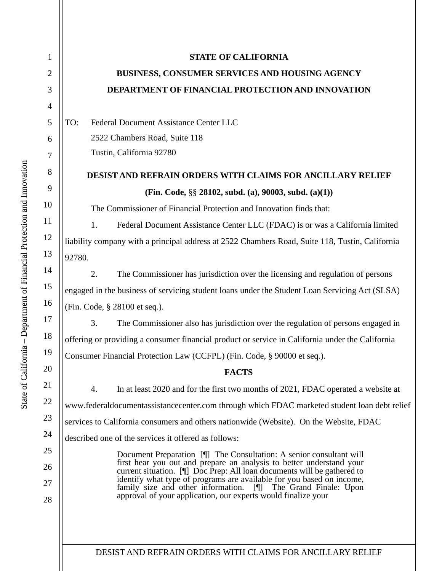| $\mathbf{1}$   | <b>STATE OF CALIFORNIA</b>                                                                                                                                                                           |
|----------------|------------------------------------------------------------------------------------------------------------------------------------------------------------------------------------------------------|
| $\overline{2}$ | BUSINESS, CONSUMER SERVICES AND HOUSING AGENCY                                                                                                                                                       |
| 3              | DEPARTMENT OF FINANCIAL PROTECTION AND INNOVATION                                                                                                                                                    |
| $\overline{4}$ |                                                                                                                                                                                                      |
| 5              | Federal Document Assistance Center LLC<br>TO:                                                                                                                                                        |
| 6              | 2522 Chambers Road, Suite 118                                                                                                                                                                        |
| 7              | Tustin, California 92780                                                                                                                                                                             |
| 8              | <b>DESIST AND REFRAIN ORDERS WITH CLAIMS FOR ANCILLARY RELIEF</b>                                                                                                                                    |
| 9              | (Fin. Code, $\S\S 28102$ , subd. (a), 90003, subd. (a)(1))                                                                                                                                           |
| 10             | The Commissioner of Financial Protection and Innovation finds that:                                                                                                                                  |
| 11             | Federal Document Assistance Center LLC (FDAC) is or was a California limited<br>1.                                                                                                                   |
| 12             | liability company with a principal address at 2522 Chambers Road, Suite 118, Tustin, California                                                                                                      |
| 13             | 92780.                                                                                                                                                                                               |
| 14             | 2.<br>The Commissioner has jurisdiction over the licensing and regulation of persons                                                                                                                 |
| 15             | engaged in the business of servicing student loans under the Student Loan Servicing Act (SLSA)                                                                                                       |
| 16             | (Fin. Code, § 28100 et seq.).                                                                                                                                                                        |
| 17             | The Commissioner also has jurisdiction over the regulation of persons engaged in<br>3.                                                                                                               |
| 18             | offering or providing a consumer financial product or service in California under the California                                                                                                     |
| 19             | Consumer Financial Protection Law (CCFPL) (Fin. Code, § 90000 et seq.).                                                                                                                              |
| 20             | <b>FACTS</b>                                                                                                                                                                                         |
| 21             | In at least 2020 and for the first two months of 2021, FDAC operated a website at<br>4.                                                                                                              |
| 22             | www.federaldocumentassistancecenter.com through which FDAC marketed student loan debt relief                                                                                                         |
| 23             | services to California consumers and others nationwide (Website). On the Website, FDAC                                                                                                               |
| 24             | described one of the services it offered as follows:                                                                                                                                                 |
| 25             | Document Preparation [1] The Consultation: A senior consultant will                                                                                                                                  |
| 26             | first hear you out and prepare an analysis to better understand your<br>current situation. [1] Doc Prep: All loan documents will be gathered to                                                      |
| 27             | identify what type of programs are available for you based on income,<br>family size and other information. [¶] The Grand Finale: Upon approval of your application, our experts would finalize your |
| 28             |                                                                                                                                                                                                      |
|                |                                                                                                                                                                                                      |
|                |                                                                                                                                                                                                      |

DESIST AND REFRAIN ORDERS WITH CLAIMS FOR ANCILLARY RELIEF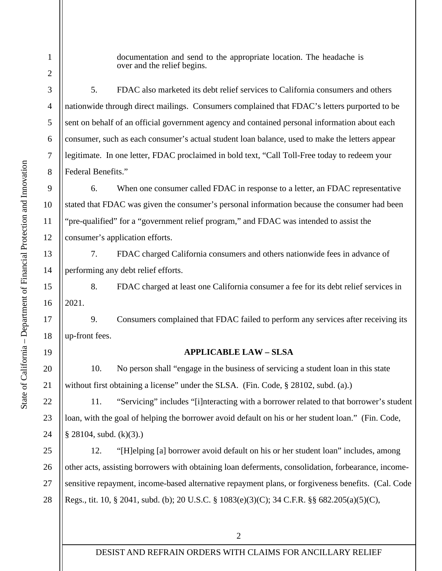documentation and send to the appropriate location. The headache is over and the relief begins.

5. FDAC also marketed its debt relief services to California consumers and others nationwide through direct mailings. Consumers complained that FDAC's letters purported to be sent on behalf of an official government agency and contained personal information about each consumer, such as each consumer's actual student loan balance, used to make the letters appear legitimate. In one letter, FDAC proclaimed in bold text, "Call Toll-Free today to redeem your Federal Benefits."

6. When one consumer called FDAC in response to a letter, an FDAC representative stated that FDAC was given the consumer's personal information because the consumer had been "pre-qualified" for a "government relief program," and FDAC was intended to assist the consumer's application efforts.

7. FDAC charged California consumers and others nationwide fees in advance of performing any debt relief efforts.

8. FDAC charged at least one California consumer a fee for its debt relief services in 2021.

9. Consumers complained that FDAC failed to perform any services after receiving its up-front fees.

## **APPLICABLE LAW – SLSA**

10. No person shall "engage in the business of servicing a student loan in this state without first obtaining a license" under the SLSA. (Fin. Code, § 28102, subd. (a).)

11. "Servicing" includes "[i]nteracting with a borrower related to that borrower's student loan, with the goal of helping the borrower avoid default on his or her student loan." (Fin. Code, § 28104, subd. (k)(3).)

26 12. "[H]elping [a] borrower avoid default on his or her student loan" includes, among other acts, assisting borrowers with obtaining loan deferments, consolidation, forbearance, incomesensitive repayment, income-based alternative repayment plans, or forgiveness benefits. (Cal. Code Regs., tit. 10, § 2041, subd. (b); 20 U.S.C. § 1083(e)(3)(C); 34 C.F.R. §§ 682.205(a)(5)(C),

1

2

3

4

5

6

7

8

9

10

11

12

13

14

15

16

17

18

19

20

21

22

23

24

25

27

28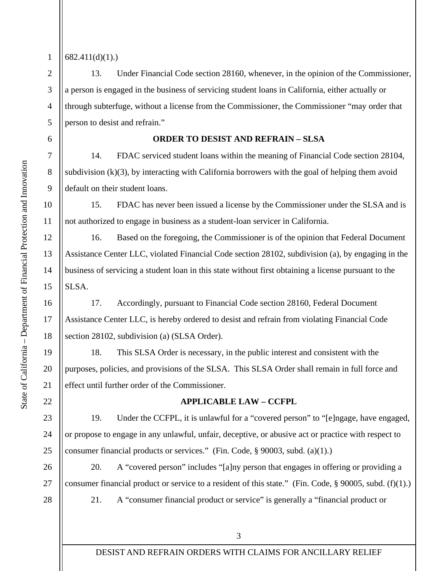State of California - Department of Financial Protection and Innovation – Department of Financial Protection and Innovation State of California

## $682.411(d)(1)$ .

1

2

3

4

5

6

7

8

9

10

11

12

13

14

15

16

17

18

19

20

21

22

23

24

25

28

13. Under Financial Code section 28160, whenever, in the opinion of the Commissioner, a person is engaged in the business of servicing student loans in California, either actually or through subterfuge, without a license from the Commissioner, the Commissioner "may order that person to desist and refrain."

## **ORDER TO DESIST AND REFRAIN – SLSA**

14. FDAC serviced student loans within the meaning of Financial Code section 28104, subdivision (k)(3), by interacting with California borrowers with the goal of helping them avoid default on their student loans.

15. FDAC has never been issued a license by the Commissioner under the SLSA and is not authorized to engage in business as a student-loan servicer in California.

16. Based on the foregoing, the Commissioner is of the opinion that Federal Document Assistance Center LLC, violated Financial Code section 28102, subdivision (a), by engaging in the business of servicing a student loan in this state without first obtaining a license pursuant to the SLSA.

17. Accordingly, pursuant to Financial Code section 28160, Federal Document Assistance Center LLC, is hereby ordered to desist and refrain from violating Financial Code section 28102, subdivision (a) (SLSA Order).

18. This SLSA Order is necessary, in the public interest and consistent with the purposes, policies, and provisions of the SLSA. This SLSA Order shall remain in full force and effect until further order of the Commissioner.

#### **APPLICABLE LAW – CCFPL**

19. Under the CCFPL, it is unlawful for a "covered person" to "[e]ngage, have engaged, or propose to engage in any unlawful, unfair, deceptive, or abusive act or practice with respect to consumer financial products or services." (Fin. Code, § 90003, subd. (a)(1).)

26 27 20. A "covered person" includes "[a]ny person that engages in offering or providing a consumer financial product or service to a resident of this state." (Fin. Code, § 90005, subd. (f)(1).)

21. A "consumer financial product or service" is generally a "financial product or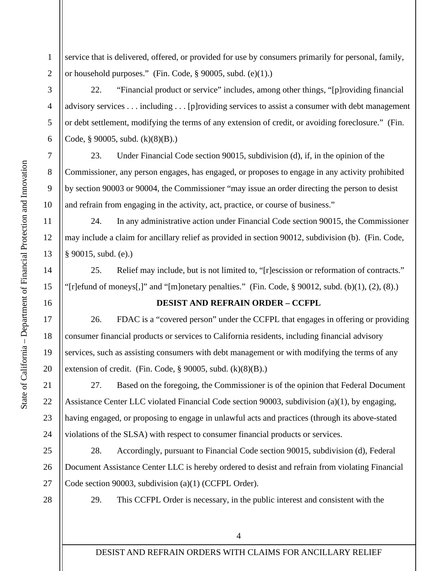1 2 service that is delivered, offered, or provided for use by consumers primarily for personal, family, or household purposes." (Fin. Code, § 90005, subd. (e)(1).)

22. "Financial product or service" includes, among other things, "[p]roviding financial advisory services . . . including . . . [p]roviding services to assist a consumer with debt management or debt settlement, modifying the terms of any extension of credit, or avoiding foreclosure." (Fin. Code, § 90005, subd.  $(k)(8)(B)$ .)

23. Under Financial Code section 90015, subdivision (d), if, in the opinion of the Commissioner, any person engages, has engaged, or proposes to engage in any activity prohibited by section 90003 or 90004, the Commissioner "may issue an order directing the person to desist and refrain from engaging in the activity, act, practice, or course of business."

24. In any administrative action under Financial Code section 90015, the Commissioner may include a claim for ancillary relief as provided in section 90012, subdivision (b). (Fin. Code, § 90015, subd. (e).)

25. Relief may include, but is not limited to, "[r]escission or reformation of contracts." "[r]efund of moneys[,]" and "[m]onetary penalties." (Fin. Code,  $\S$  90012, subd. (b)(1), (2), (8).)

# **DESIST AND REFRAIN ORDER – CCFPL**

26. FDAC is a "covered person" under the CCFPL that engages in offering or providing consumer financial products or services to California residents, including financial advisory services, such as assisting consumers with debt management or with modifying the terms of any extension of credit. (Fin. Code,  $\S$  90005, subd.  $(k)(8)(B)$ .)

27. Based on the foregoing, the Commissioner is of the opinion that Federal Document Assistance Center LLC violated Financial Code section 90003, subdivision (a)(1), by engaging, having engaged, or proposing to engage in unlawful acts and practices (through its above-stated violations of the SLSA) with respect to consumer financial products or services.

28. Accordingly, pursuant to Financial Code section 90015, subdivision (d), Federal Document Assistance Center LLC is hereby ordered to desist and refrain from violating Financial Code section 90003, subdivision (a)(1) (CCFPL Order).

28

29. This CCFPL Order is necessary, in the public interest and consistent with the

State of California

3

4

5

6

7

8

9

10

11

12

13

– Department of Financial Protection and Innovation

State of California - Department of Financial Protection and Innovation

14

15

16

17

18

19

20

21

22

23

24

25

26

27

DESIST AND REFRAIN ORDERS WITH CLAIMS FOR ANCILLARY RELIEF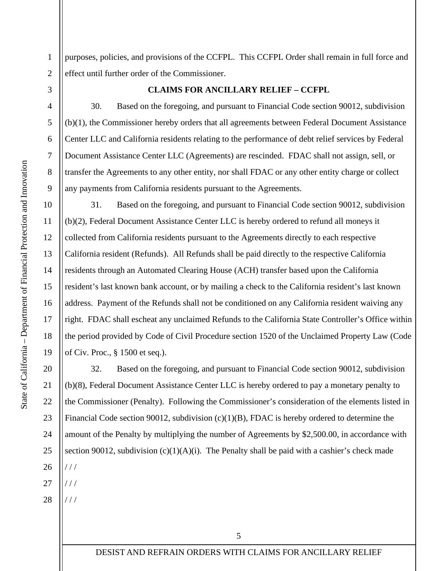purposes, policies, and provisions of the CCFPL. This CCFPL Order shall remain in full force and effect until further order of the Commissioner.

3

1

2

4

5

6

7

8

9

10

11

12

13

14

15

16

17

18

19

20

21

22

23

24

25

26

## **CLAIMS FOR ANCILLARY RELIEF – CCFPL**

30. Based on the foregoing, and pursuant to Financial Code section 90012, subdivision (b)(1), the Commissioner hereby orders that all agreements between Federal Document Assistance Center LLC and California residents relating to the performance of debt relief services by Federal Document Assistance Center LLC (Agreements) are rescinded. FDAC shall not assign, sell, or transfer the Agreements to any other entity, nor shall FDAC or any other entity charge or collect any payments from California residents pursuant to the Agreements.

31. Based on the foregoing, and pursuant to Financial Code section 90012, subdivision (b)(2), Federal Document Assistance Center LLC is hereby ordered to refund all moneys it collected from California residents pursuant to the Agreements directly to each respective California resident (Refunds). All Refunds shall be paid directly to the respective California residents through an Automated Clearing House (ACH) transfer based upon the California resident's last known bank account, or by mailing a check to the California resident's last known address. Payment of the Refunds shall not be conditioned on any California resident waiving any right. FDAC shall escheat any unclaimed Refunds to the California State Controller's Office within the period provided by Code of Civil Procedure section 1520 of the Unclaimed Property Law (Code of Civ. Proc., § 1500 et seq.).

32. Based on the foregoing, and pursuant to Financial Code section 90012, subdivision (b)(8), Federal Document Assistance Center LLC is hereby ordered to pay a monetary penalty to the Commissioner (Penalty). Following the Commissioner's consideration of the elements listed in Financial Code section 90012, subdivision (c)(1)(B), FDAC is hereby ordered to determine the amount of the Penalty by multiplying the number of Agreements by \$2,500.00, in accordance with section 90012, subdivision  $(c)(1)(A)(i)$ . The Penalty shall be paid with a cashier's check made  $111$ 

27 / / /

28  $111$ 

DESIST AND REFRAIN ORDERS WITH CLAIMS FOR ANCILLARY RELIEF